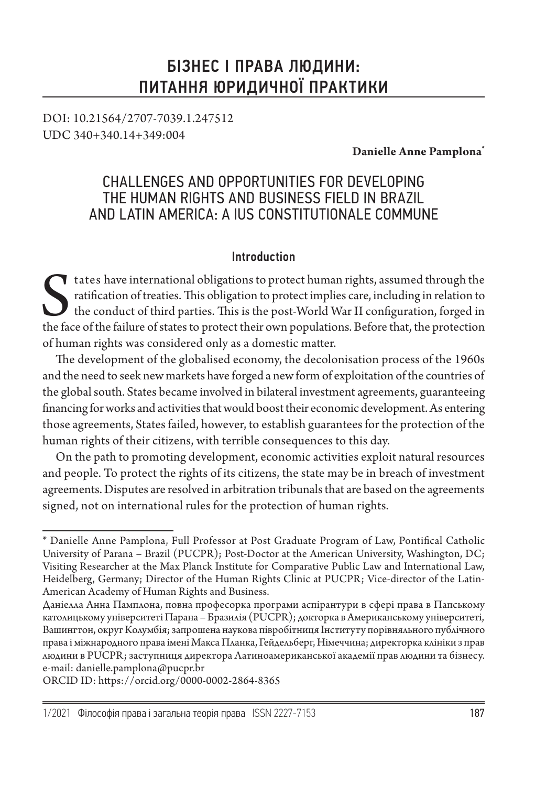# БІЗНЕС І ПРАВА ЛЮДИНИ: ПИТАННЯ ЮРИДИЧНОЇ ПРАКТИКИ

DOI: 10.21564/2707-7039.1.247512 UDC 340+340.14+349:004

**Danielle Anne Pamplona\***

## CHALLENGES AND OPPORTUNITIES FOR DEVELOPING THE HUMAN RIGHTS AND BUSINESS FIELD IN BRAZIL AND LATIN AMERICA: A IUS CONSTITUTIONALE COMMUNE

#### Introduction

tates have international obligations to protect human rights, assumed through the ratification of treaties. This obligation to protect implies care, including in relation to the conduct of third parties. This is the post-W ratification of treaties. This obligation to protect implies care, including in relation to the conduct of third parties. This is the post-World War II configuration, forged in the face of the failure of states to protect their own populations. Before that, the protection of human rights was considered only as a domestic matter.

The development of the globalised economy, the decolonisation process of the 1960s and the need to seek new markets have forged a new form of exploitation of the countries of the global south. States became involved in bilateral investment agreements, guaranteeing financing for works and activities that would boost their economic development. As entering those agreements, States failed, however, to establish guarantees for the protection of the human rights of their citizens, with terrible consequences to this day.

On the path to promoting development, economic activities exploit natural resources and people. To protect the rights of its citizens, the state may be in breach of investment agreements. Disputes are resolved in arbitration tribunals that are based on the agreements signed, not on international rules for the protection of human rights.

ORCID ID: https://orcid.org/0000-0002-2864-8365

<sup>\*</sup> Danielle Anne Pamplona, Full Professor at Post Graduate Program of Law, Pontifical Catholic University of Parana – Brazil (PUCPR); Post-Doctor at the American University, Washington, DC; Visiting Researcher at the Max Planck Institute for Comparative Public Law and International Law, Heidelberg, Germany; Director of the Human Rights Clinic at PUCPR; Vice-director of the Latin-American Academy of Human Rights and Business.

Даніелла Анна Памплона, повна професорка програми аспірантури в сфері права в Папському католицькому університеті Парана – Бразилія (PUCPR); докторка в Американському університеті, Вашингтон, округ Колумбія; запрошена наукова півробітниця Інституту порівняльного публічного права і міжнародного права імені Макса Планка, Гейдельберг, Німеччина; директорка клініки з прав людини в PUCPR; заступниця директора Латиноамериканської академії прав людини та бізнесу. e-mail: danielle.pamplona@pucpr.br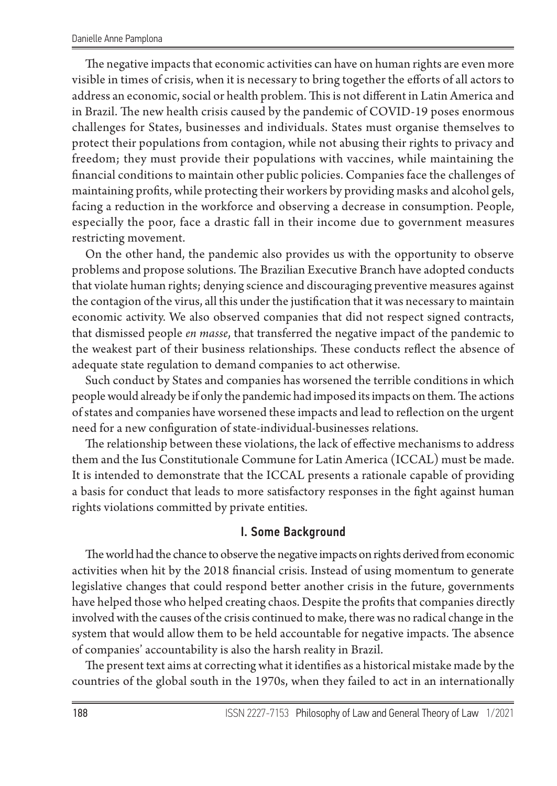The negative impacts that economic activities can have on human rights are even more visible in times of crisis, when it is necessary to bring together the efforts of all actors to address an economic, social or health problem. This is not different in Latin America and in Brazil. The new health crisis caused by the pandemic of COVID-19 poses enormous challenges for States, businesses and individuals. States must organise themselves to protect their populations from contagion, while not abusing their rights to privacy and freedom; they must provide their populations with vaccines, while maintaining the financial conditions to maintain other public policies. Companies face the challenges of maintaining profits, while protecting their workers by providing masks and alcohol gels, facing a reduction in the workforce and observing a decrease in consumption. People, especially the poor, face a drastic fall in their income due to government measures restricting movement.

On the other hand, the pandemic also provides us with the opportunity to observe problems and propose solutions. The Brazilian Executive Branch have adopted conducts that violate human rights; denying science and discouraging preventive measures against the contagion of the virus, all this under the justification that it was necessary to maintain economic activity. We also observed companies that did not respect signed contracts, that dismissed people *en masse*, that transferred the negative impact of the pandemic to the weakest part of their business relationships. These conducts reflect the absence of adequate state regulation to demand companies to act otherwise.

Such conduct by States and companies has worsened the terrible conditions in which people would already be if only the pandemic had imposed its impacts on them. The actions of states and companies have worsened these impacts and lead to reflection on the urgent need for a new configuration of state-individual-businesses relations.

The relationship between these violations, the lack of effective mechanisms to address them and the Ius Constitutionale Commune for Latin America (ICCAL) must be made. It is intended to demonstrate that the ICCAL presents a rationale capable of providing a basis for conduct that leads to more satisfactory responses in the fight against human rights violations committed by private entities.

### I. Some Background

The world had the chance to observe the negative impacts on rights derived from economic activities when hit by the 2018 financial crisis. Instead of using momentum to generate legislative changes that could respond better another crisis in the future, governments have helped those who helped creating chaos. Despite the profits that companies directly involved with the causes of the crisis continued to make, there was no radical change in the system that would allow them to be held accountable for negative impacts. The absence of companies' accountability is also the harsh reality in Brazil.

The present text aims at correcting what it identifies as a historical mistake made by the countries of the global south in the 1970s, when they failed to act in an internationally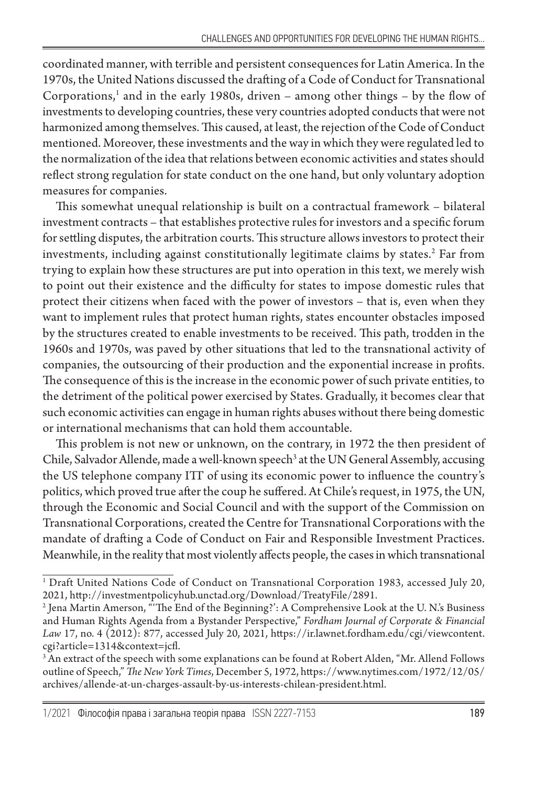coordinated manner, with terrible and persistent consequences for Latin America. In the 1970s, the United Nations discussed the drafting of a Code of Conduct for Transnational Corporations,<sup>1</sup> and in the early 1980s, driven – among other things – by the flow of investments to developing countries, these very countries adopted conducts that were not harmonized among themselves. This caused, at least, the rejection of the Code of Conduct mentioned. Moreover, these investments and the way in which they were regulated led to the normalization of the idea that relations between economic activities and states should reflect strong regulation for state conduct on the one hand, but only voluntary adoption measures for companies.

This somewhat unequal relationship is built on a contractual framework – bilateral investment contracts – that establishes protective rules for investors and a specific forum for settling disputes, the arbitration courts. This structure allows investors to protect their investments, including against constitutionally legitimate claims by states.<sup>2</sup> Far from trying to explain how these structures are put into operation in this text, we merely wish to point out their existence and the difficulty for states to impose domestic rules that protect their citizens when faced with the power of investors – that is, even when they want to implement rules that protect human rights, states encounter obstacles imposed by the structures created to enable investments to be received. This path, trodden in the 1960s and 1970s, was paved by other situations that led to the transnational activity of companies, the outsourcing of their production and the exponential increase in profits. The consequence of this is the increase in the economic power of such private entities, to the detriment of the political power exercised by States. Gradually, it becomes clear that such economic activities can engage in human rights abuses without there being domestic or international mechanisms that can hold them accountable.

This problem is not new or unknown, on the contrary, in 1972 the then president of Chile, Salvador Allende, made a well-known speech<sup>3</sup> at the UN General Assembly, accusing the US telephone company ITT of using its economic power to influence the country's politics, which proved true after the coup he suffered. At Chile's request, in 1975, the UN, through the Economic and Social Council and with the support of the Commission on Transnational Corporations, created the Centre for Transnational Corporations with the mandate of drafting a Code of Conduct on Fair and Responsible Investment Practices. Meanwhile, in the reality that most violently affects people, the cases in which transnational

<sup>1</sup> Draft United Nations Code of Conduct on Transnational Corporation 1983, accessed July 20, 2021, http://investmentpolicyhub.unctad.org/Download/TreatyFile/2891.

<sup>2</sup> Jena Martin Amerson, "'The End of the Beginning?': A Comprehensive Look at the U. N.'s Business and Human Rights Agenda from a Bystander Perspective," *Fordham Journal of Corporate & Financial Law* 17, no. 4 (2012): 877, accessed July 20, 2021, https://ir.lawnet.fordham.edu/cgi/viewcontent. cgi?article=1314&context=jcfl.

<sup>3</sup> An extract of the speech with some explanations can be found at Robert Alden, "Mr. Allend Follows outline of Speech," *The New York Times*, December 5, 1972, https://www.nytimes.com/1972/12/05/ archives/allende-at-un-charges-assault-by-us-interests-chilean-president.html.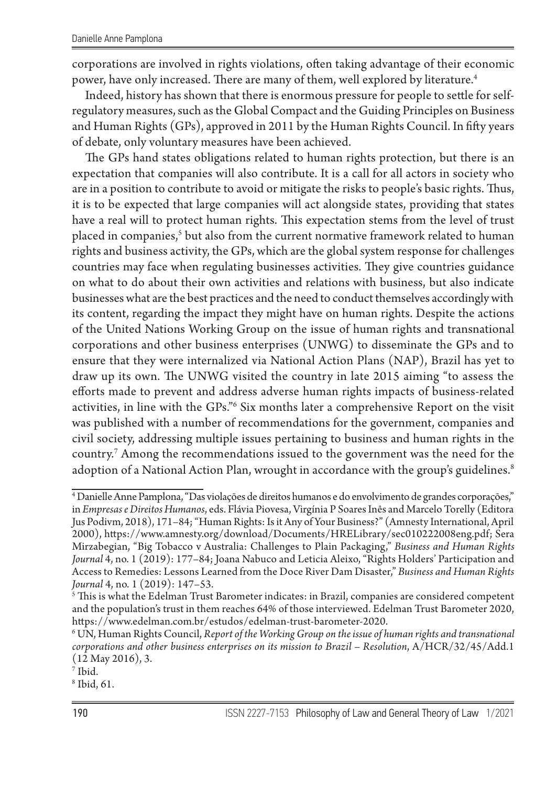corporations are involved in rights violations, often taking advantage of their economic power, have only increased. There are many of them, well explored by literature.<sup>4</sup>

Indeed, history has shown that there is enormous pressure for people to settle for selfregulatory measures, such as the Global Compact and the Guiding Principles on Business and Human Rights (GPs), approved in 2011 by the Human Rights Council. In fifty years of debate, only voluntary measures have been achieved.

The GPs hand states obligations related to human rights protection, but there is an expectation that companies will also contribute. It is a call for all actors in society who are in a position to contribute to avoid or mitigate the risks to people's basic rights. Thus, it is to be expected that large companies will act alongside states, providing that states have a real will to protect human rights. This expectation stems from the level of trust placed in companies,<sup>5</sup> but also from the current normative framework related to human rights and business activity, the GPs, which are the global system response for challenges countries may face when regulating businesses activities. They give countries guidance on what to do about their own activities and relations with business, but also indicate businesses what are the best practices and the need to conduct themselves accordingly with its content, regarding the impact they might have on human rights. Despite the actions of the United Nations Working Group on the issue of human rights and transnational corporations and other business enterprises (UNWG) to disseminate the GPs and to ensure that they were internalized via National Action Plans (NAP), Brazil has yet to draw up its own. The UNWG visited the country in late 2015 aiming "to assess the efforts made to prevent and address adverse human rights impacts of business-related activities, in line with the GPs."<sup>6</sup> Six months later a comprehensive Report on the visit was published with a number of recommendations for the government, companies and civil society, addressing multiple issues pertaining to business and human rights in the country.7 Among the recommendations issued to the government was the need for the adoption of a National Action Plan, wrought in accordance with the group's guidelines.<sup>8</sup>

<sup>4</sup> Danielle Anne Pamplona, "Das violações de direitos humanos e do envolvimento de grandes corporações," in *Empresas e Direitos Humanos*, eds. Flávia Piovesa, Virgínia P Soares Inês and Marcelo Torelly (Editora Jus Podivm, 2018), 171–84; "Human Rights: Is it Any of Your Business?" (Amnesty International, April 2000), https://www.amnesty.org/download/Documents/HRELibrary/sec010222008eng.pdf; Sera Mirzabegian, "Big Tobacco v Australia: Challenges to Plain Packaging," *Business and Human Rights Journal* 4, no. 1 (2019): 177–84; Joana Nabuco and Leticia Aleixo, "Rights Holders' Participation and Access to Remedies: Lessons Learned from the Doce River Dam Disaster," *Business and Human Rights Journal* 4, no. 1 (2019): 147–53.

 $^{\rm 5}$  This is what the Edelman Trust Barometer indicates: in Brazil, companies are considered competent and the population's trust in them reaches 64% of those interviewed. Edelman Trust Barometer 2020, https://www.edelman.com.br/estudos/edelman-trust-barometer-2020.

<sup>6</sup> UN, Human Rights Council, *Report of the Working Group on the issue of human rights and transnational corporations and other business enterprises on its mission to Brazil* – *Resolution*, A/HCR/32/45/Add.1 (12 May 2016), 3.

<sup>7</sup> Ibid.

<sup>8</sup> Ibid, 61.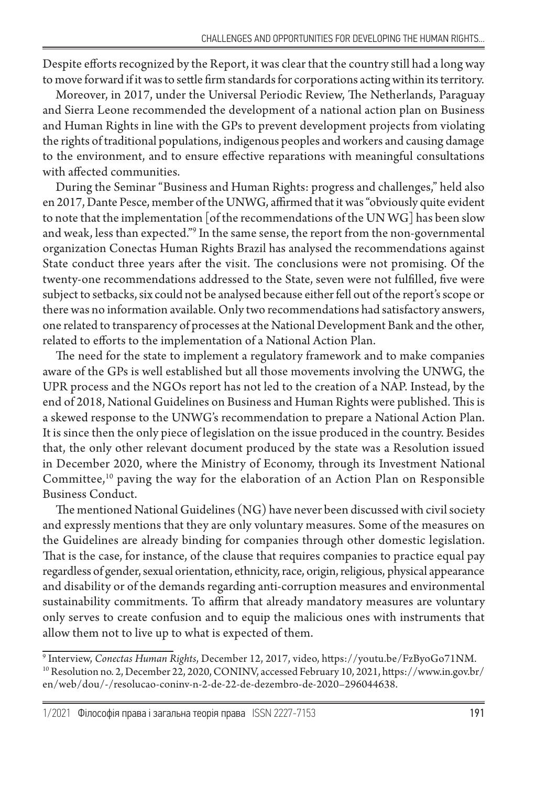Despite efforts recognized by the Report, it was clear that the country still had a long way to move forward if it was to settle firm standards for corporations acting within its territory.

Moreover, in 2017, under the Universal Periodic Review, The Netherlands, Paraguay and Sierra Leone recommended the development of a national action plan on Business and Human Rights in line with the GPs to prevent development projects from violating the rights of traditional populations, indigenous peoples and workers and causing damage to the environment, and to ensure effective reparations with meaningful consultations with affected communities.

During the Seminar "Business and Human Rights: progress and challenges," held also en 2017, Dante Pesce, member of the UNWG, affirmed that it was "obviously quite evident to note that the implementation [of the recommendations of the UN WG] has been slow and weak, less than expected."9 In the same sense, the report from the non-governmental organization Conectas Human Rights Brazil has analysed the recommendations against State conduct three years after the visit. The conclusions were not promising. Of the twenty-one recommendations addressed to the State, seven were not fulfilled, five were subject to setbacks, six could not be analysed because either fell out of the report's scope or there was no information available. Only two recommendations had satisfactory answers, one related to transparency of processes at the National Development Bank and the other, related to efforts to the implementation of a National Action Plan.

The need for the state to implement a regulatory framework and to make companies aware of the GPs is well established but all those movements involving the UNWG, the UPR process and the NGOs report has not led to the creation of a NAP. Instead, by the end of 2018, National Guidelines on Business and Human Rights were published. This is a skewed response to the UNWG's recommendation to prepare a National Action Plan. It is since then the only piece of legislation on the issue produced in the country. Besides that, the only other relevant document produced by the state was a Resolution issued in December 2020, where the Ministry of Economy, through its Investment National Committee,<sup>10</sup> paving the way for the elaboration of an Action Plan on Responsible Business Conduct.

The mentioned National Guidelines (NG) have never been discussed with civil society and expressly mentions that they are only voluntary measures. Some of the measures on the Guidelines are already binding for companies through other domestic legislation. That is the case, for instance, of the clause that requires companies to practice equal pay regardless of gender, sexual orientation, ethnicity, race, origin, religious, physical appearance and disability or of the demands regarding anti-corruption measures and environmental sustainability commitments. To affirm that already mandatory measures are voluntary only serves to create confusion and to equip the malicious ones with instruments that allow them not to live up to what is expected of them.

<sup>9</sup> Interview, *Conectas Human Rights*, December 12, 2017, video, https://youtu.be/FzByoGo71NM. 10 Resolution no. 2, December 22, 2020, CONINV, accessed February 10, 2021, https://www.in.gov.br/ en/web/dou/-/resolucao-coninv-n-2-de-22-de-dezembro-de-2020–296044638.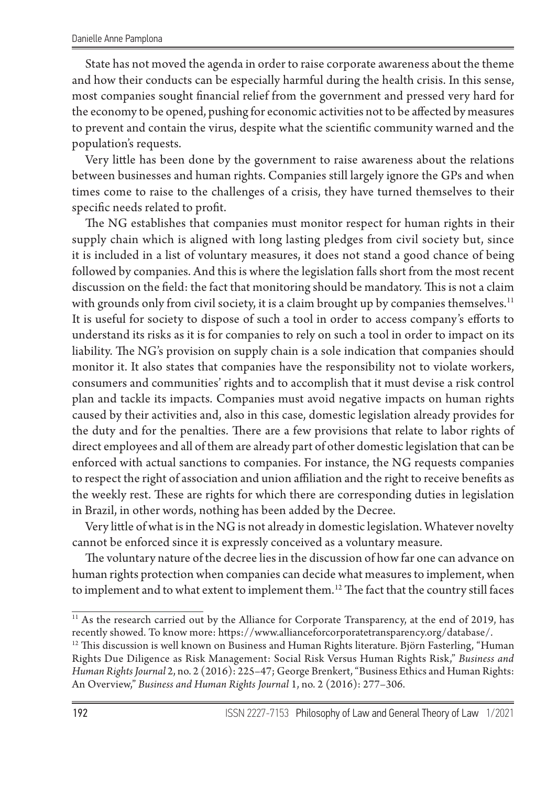State has not moved the agenda in order to raise corporate awareness about the theme and how their conducts can be especially harmful during the health crisis. In this sense, most companies sought financial relief from the government and pressed very hard for the economy to be opened, pushing for economic activities not to be affected by measures to prevent and contain the virus, despite what the scientific community warned and the population's requests.

Very little has been done by the government to raise awareness about the relations between businesses and human rights. Companies still largely ignore the GPs and when times come to raise to the challenges of a crisis, they have turned themselves to their specific needs related to profit.

The NG establishes that companies must monitor respect for human rights in their supply chain which is aligned with long lasting pledges from civil society but, since it is included in a list of voluntary measures, it does not stand a good chance of being followed by companies. And this is where the legislation falls short from the most recent discussion on the field: the fact that monitoring should be mandatory. This is not a claim with grounds only from civil society, it is a claim brought up by companies themselves.<sup>11</sup> It is useful for society to dispose of such a tool in order to access company's efforts to understand its risks as it is for companies to rely on such a tool in order to impact on its liability. The NG's provision on supply chain is a sole indication that companies should monitor it. It also states that companies have the responsibility not to violate workers, consumers and communities' rights and to accomplish that it must devise a risk control plan and tackle its impacts. Companies must avoid negative impacts on human rights caused by their activities and, also in this case, domestic legislation already provides for the duty and for the penalties. There are a few provisions that relate to labor rights of direct employees and all of them are already part of other domestic legislation that can be enforced with actual sanctions to companies. For instance, the NG requests companies to respect the right of association and union affiliation and the right to receive benefits as the weekly rest. These are rights for which there are corresponding duties in legislation in Brazil, in other words, nothing has been added by the Decree.

Very little of what is in the NG is not already in domestic legislation. Whatever novelty cannot be enforced since it is expressly conceived as a voluntary measure.

The voluntary nature of the decree lies in the discussion of how far one can advance on human rights protection when companies can decide what measures to implement, when to implement and to what extent to implement them.12 The fact that the country still faces

<sup>&</sup>lt;sup>11</sup> As the research carried out by the Alliance for Corporate Transparency, at the end of 2019, has recently showed. To know more: https://www.allianceforcorporatetransparency.org/database/.

 $12$  This discussion is well known on Business and Human Rights literature. Björn Fasterling, "Human Rights Due Diligence as Risk Management: Social Risk Versus Human Rights Risk," *Business and Human Rights Journal* 2, no. 2 (2016): 225–47; George Brenkert, "Business Ethics and Human Rights: An Overview," *Business and Human Rights Journal* 1, no. 2 (2016): 277–306.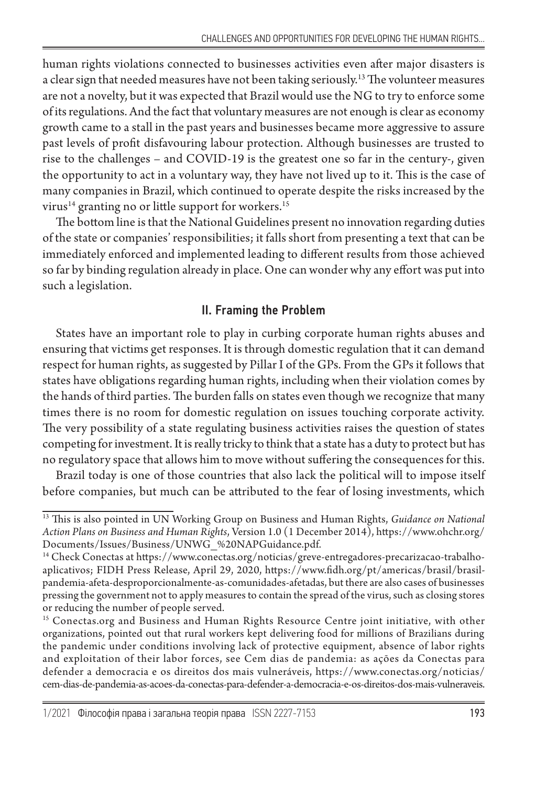human rights violations connected to businesses activities even after major disasters is a clear sign that needed measures have not been taking seriously.13 The volunteer measures are not a novelty, but it was expected that Brazil would use the NG to try to enforce some of its regulations. And the fact that voluntary measures are not enough is clear as economy growth came to a stall in the past years and businesses became more aggressive to assure past levels of profit disfavouring labour protection. Although businesses are trusted to rise to the challenges – and COVID-19 is the greatest one so far in the century-, given the opportunity to act in a voluntary way, they have not lived up to it. This is the case of many companies in Brazil, which continued to operate despite the risks increased by the virus<sup>14</sup> granting no or little support for workers.<sup>15</sup>

The bottom line is that the National Guidelines present no innovation regarding duties of the state or companies' responsibilities; it falls short from presenting a text that can be immediately enforced and implemented leading to different results from those achieved so far by binding regulation already in place. One can wonder why any effort was put into such a legislation.

## II. Framing the Problem

States have an important role to play in curbing corporate human rights abuses and ensuring that victims get responses. It is through domestic regulation that it can demand respect for human rights, as suggested by Pillar I of the GPs. From the GPs it follows that states have obligations regarding human rights, including when their violation comes by the hands of third parties. The burden falls on states even though we recognize that many times there is no room for domestic regulation on issues touching corporate activity. The very possibility of a state regulating business activities raises the question of states competing for investment. It is really tricky to think that a state has a duty to protect but has no regulatory space that allows him to move without suffering the consequences for this.

Brazil today is one of those countries that also lack the political will to impose itself before companies, but much can be attributed to the fear of losing investments, which

<sup>13</sup> This is also pointed in UN Working Group on Business and Human Rights, *Guidance on National Action Plans on Business and Human Rights*, Version 1.0 (1 December 2014), https://www.ohchr.org/ Documents/Issues/Business/UNWG\_%20NAPGuidance.pdf.

<sup>14</sup> Check Conectas at https://www.conectas.org/noticias/greve-entregadores-precarizacao-trabalhoaplicativos; FIDH Press Release, April 29, 2020, https://www.fidh.org/pt/americas/brasil/brasilpandemia-afeta-desproporcionalmente-as-comunidades-afetadas, but there are also cases of businesses pressing the government not to apply measures to contain the spread of the virus, such as closing stores or reducing the number of people served.

<sup>15</sup> Conectas.org and Business and Human Rights Resource Centre joint initiative, with other organizations, pointed out that rural workers kept delivering food for millions of Brazilians during the pandemic under conditions involving lack of protective equipment, absence of labor rights and exploitation of their labor forces, see Cem dias de pandemia: as ações da Conectas para defender a democracia e os direitos dos mais vulneráveis, https://www.conectas.org/noticias/ cem-dias-de-pandemia-as-acoes-da-conectas-para-defender-a-democracia-e-os-direitos-dos-mais-vulneraveis.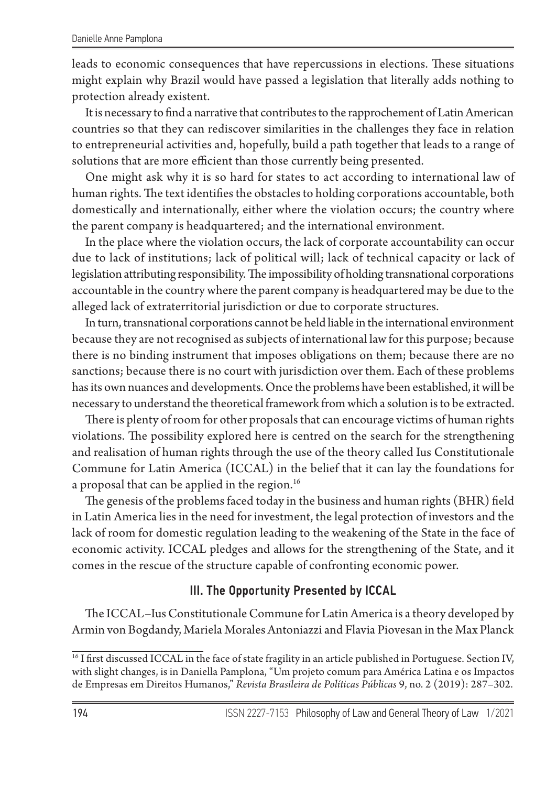leads to economic consequences that have repercussions in elections. These situations might explain why Brazil would have passed a legislation that literally adds nothing to protection already existent.

It is necessary to find a narrative that contributes to the rapprochement of Latin American countries so that they can rediscover similarities in the challenges they face in relation to entrepreneurial activities and, hopefully, build a path together that leads to a range of solutions that are more efficient than those currently being presented.

One might ask why it is so hard for states to act according to international law of human rights. The text identifies the obstacles to holding corporations accountable, both domestically and internationally, either where the violation occurs; the country where the parent company is headquartered; and the international environment.

In the place where the violation occurs, the lack of corporate accountability can occur due to lack of institutions; lack of political will; lack of technical capacity or lack of legislation attributing responsibility. The impossibility of holding transnational corporations accountable in the country where the parent company is headquartered may be due to the alleged lack of extraterritorial jurisdiction or due to corporate structures.

In turn, transnational corporations cannot be held liable in the international environment because they are not recognised as subjects of international law for this purpose; because there is no binding instrument that imposes obligations on them; because there are no sanctions; because there is no court with jurisdiction over them. Each of these problems has its own nuances and developments. Once the problems have been established, it will be necessary to understand the theoretical framework from which a solution is to be extracted.

There is plenty of room for other proposals that can encourage victims of human rights violations. The possibility explored here is centred on the search for the strengthening and realisation of human rights through the use of the theory called Ius Constitutionale Commune for Latin America (ICCAL) in the belief that it can lay the foundations for a proposal that can be applied in the region.<sup>16</sup>

The genesis of the problems faced today in the business and human rights (BHR) field in Latin America lies in the need for investment, the legal protection of investors and the lack of room for domestic regulation leading to the weakening of the State in the face of economic activity. ICCAL pledges and allows for the strengthening of the State, and it comes in the rescue of the structure capable of confronting economic power.

### III. The Opportunity Presented by ICCAL

The ICCAL–Ius Constitutionale Commune for Latin America is a theory developed by Armin von Bogdandy, Mariela Morales Antoniazzi and Flavia Piovesan in the Max Planck

<sup>&</sup>lt;sup>16</sup> I first discussed ICCAL in the face of state fragility in an article published in Portuguese. Section IV, with slight changes, is in Daniella Pamplona, "Um projeto comum para América Latina e os Impactos de Empresas em Direitos Humanos," *Revista Brasileira de Políticas Públicas* 9, no. 2 (2019): 287–302.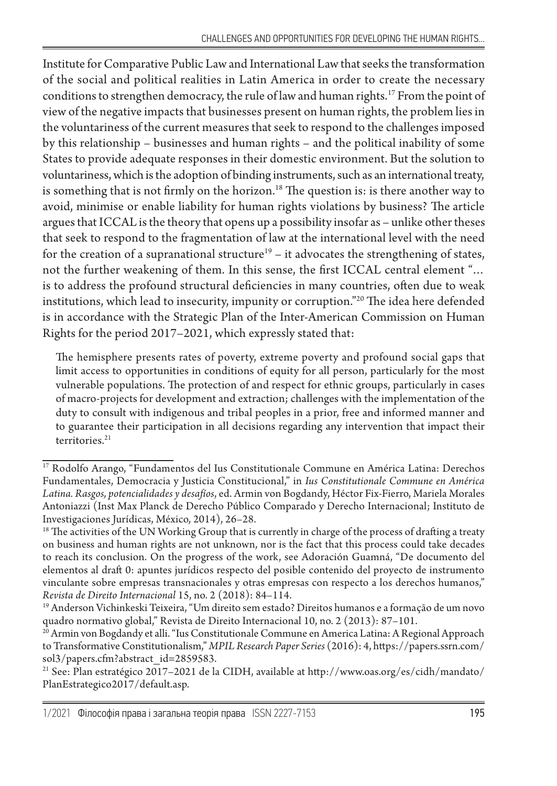Institute for Comparative Public Law and International Law that seeks the transformation of the social and political realities in Latin America in order to create the necessary conditions to strengthen democracy, the rule of law and human rights.<sup>17</sup> From the point of view of the negative impacts that businesses present on human rights, the problem lies in the voluntariness of the current measures that seek to respond to the challenges imposed by this relationship – businesses and human rights – and the political inability of some States to provide adequate responses in their domestic environment. But the solution to voluntariness, which is the adoption of binding instruments, such as an international treaty, is something that is not firmly on the horizon.<sup>18</sup> The question is: is there another way to avoid, minimise or enable liability for human rights violations by business? The article argues that ICCAL is the theory that opens up a possibility insofar as – unlike other theses that seek to respond to the fragmentation of law at the international level with the need for the creation of a supranational structure<sup>19</sup> – it advocates the strengthening of states, not the further weakening of them. In this sense, the first ICCAL central element "… is to address the profound structural deficiencies in many countries, often due to weak institutions, which lead to insecurity, impunity or corruption."20 The idea here defended is in accordance with the Strategic Plan of the Inter-American Commission on Human Rights for the period 2017–2021, which expressly stated that:

The hemisphere presents rates of poverty, extreme poverty and profound social gaps that limit access to opportunities in conditions of equity for all person, particularly for the most vulnerable populations. The protection of and respect for ethnic groups, particularly in cases of macro-projects for development and extraction; challenges with the implementation of the duty to consult with indigenous and tribal peoples in a prior, free and informed manner and to guarantee their participation in all decisions regarding any intervention that impact their territories.<sup>21</sup>

<sup>&</sup>lt;sup>17</sup> Rodolfo Arango, "Fundamentos del Ius Constitutionale Commune en América Latina: Derechos Fundamentales, Democracia y Justicia Constitucional," in *Ius Constitutionale Commune en América Latina. Rasgos, potencialidades y desafíos*, ed. Armin von Bogdandy, Héctor Fix-Fierro, Mariela Morales Antoniazzi (Inst Max Planck de Derecho Público Comparado y Derecho Internacional; Instituto de Investigaciones Jurídicas, México, 2014), 26–28.

<sup>&</sup>lt;sup>18</sup> The activities of the UN Working Group that is currently in charge of the process of drafting a treaty on business and human rights are not unknown, nor is the fact that this process could take decades to reach its conclusion. On the progress of the work, see Adoración Guamná, "De documento del elementos al draft 0: apuntes jurídicos respecto del posible contenido del proyecto de instrumento vinculante sobre empresas transnacionales y otras empresas con respecto a los derechos humanos," *Revista de Direito Internacional* 15, no. 2 (2018): 84–114.

<sup>19</sup> Anderson Vichinkeski Teixeira, "Um direito sem estado? Direitos humanos e a formação de um novo quadro normativo global," Revista de Direito Internacional 10, no. 2 (2013): 87–101.

<sup>&</sup>lt;sup>20</sup> Armin von Bogdandy et alli. "Ius Constitutionale Commune en America Latina: A Regional Approach to Transformative Constitutionalism," *MPIL Research Paper Series* (2016): 4, https://papers.ssrn.com/ sol3/papers.cfm?abstract\_id=2859583.

 $^{21}$  See: Plan estratégico 2017–2021 de la CIDH, available at http://www.oas.org/es/cidh/mandato/ PlanEstrategico2017/default.asp.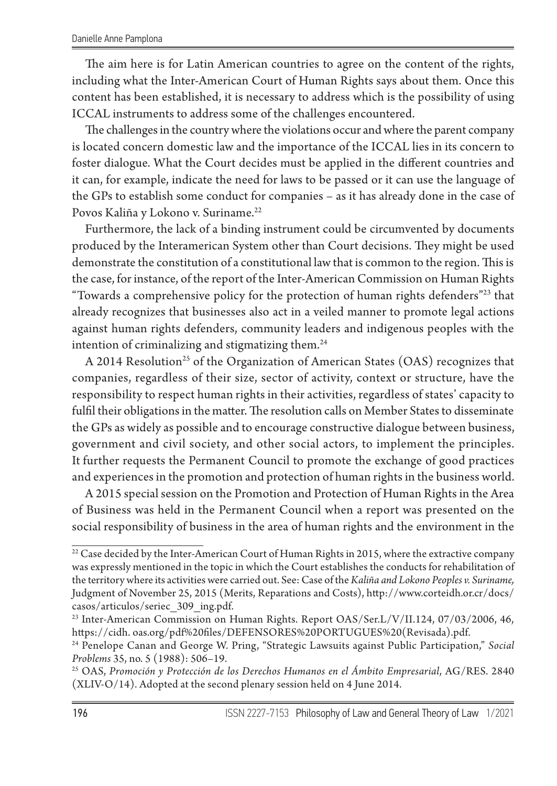The aim here is for Latin American countries to agree on the content of the rights, including what the Inter-American Court of Human Rights says about them. Once this content has been established, it is necessary to address which is the possibility of using ICCAL instruments to address some of the challenges encountered.

The challenges in the country where the violations occur and where the parent company is located concern domestic law and the importance of the ICCAL lies in its concern to foster dialogue. What the Court decides must be applied in the different countries and it can, for example, indicate the need for laws to be passed or it can use the language of the GPs to establish some conduct for companies – as it has already done in the case of Povos Kaliña y Lokono v. Suriname.<sup>22</sup>

Furthermore, the lack of a binding instrument could be circumvented by documents produced by the Interamerican System other than Court decisions. They might be used demonstrate the constitution of a constitutional law that is common to the region. This is the case, for instance, of the report of the Inter-American Commission on Human Rights "Towards a comprehensive policy for the protection of human rights defenders"23 that already recognizes that businesses also act in a veiled manner to promote legal actions against human rights defenders, community leaders and indigenous peoples with the intention of criminalizing and stigmatizing them.<sup>24</sup>

A 2014 Resolution<sup>25</sup> of the Organization of American States (OAS) recognizes that companies, regardless of their size, sector of activity, context or structure, have the responsibility to respect human rights in their activities, regardless of states' capacity to fulfil their obligations in the matter. The resolution calls on Member States to disseminate the GPs as widely as possible and to encourage constructive dialogue between business, government and civil society, and other social actors, to implement the principles. It further requests the Permanent Council to promote the exchange of good practices and experiences in the promotion and protection of human rights in the business world.

A 2015 special session on the Promotion and Protection of Human Rights in the Area of Business was held in the Permanent Council when a report was presented on the social responsibility of business in the area of human rights and the environment in the

 $22$  Case decided by the Inter-American Court of Human Rights in 2015, where the extractive company was expressly mentioned in the topic in which the Court establishes the conducts for rehabilitation of the territory where its activities were carried out. See: Case of the *Kaliña and Lokono Peoples v. Suriname,*  Judgment of November 25, 2015 (Merits, Reparations and Costs), http://www.corteidh.or.cr/docs/ casos/articulos/seriec\_309\_ing.pdf.

<sup>&</sup>lt;sup>23</sup> Inter-American Commission on Human Rights. Report OAS/Ser.L/V/II.124, 07/03/2006, 46, https://cidh. oas.org/pdf%20files/DEFENSORES%20PORTUGUES%20(Revisada).pdf.

<sup>24</sup> Penelope Canan and George W. Pring, "Strategic Lawsuits against Public Participation," *Social Problems* 35, no. 5 (1988): 506–19.

<sup>25</sup> OAS, *Promoción y Protección de los Derechos Humanos en el Ámbito Empresarial*, AG/RES. 2840 (XLIV-O/14). Adopted at the second plenary session held on 4 June 2014.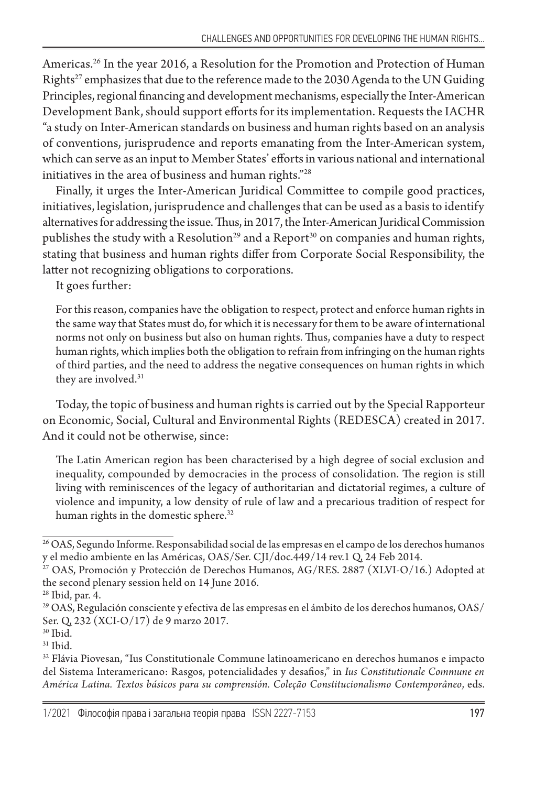Americas.26 In the year 2016, a Resolution for the Promotion and Protection of Human Rights<sup>27</sup> emphasizes that due to the reference made to the 2030 Agenda to the UN Guiding Principles, regional financing and development mechanisms, especially the Inter-American Development Bank, should support efforts for its implementation. Requests the IACHR "a study on Inter-American standards on business and human rights based on an analysis of conventions, jurisprudence and reports emanating from the Inter-American system, which can serve as an input to Member States' efforts in various national and international initiatives in the area of business and human rights."28

Finally, it urges the Inter-American Juridical Committee to compile good practices, initiatives, legislation, jurisprudence and challenges that can be used as a basis to identify alternatives for addressing the issue. Thus, in 2017, the Inter-American Juridical Commission publishes the study with a Resolution<sup>29</sup> and a Report<sup>30</sup> on companies and human rights, stating that business and human rights differ from Corporate Social Responsibility, the latter not recognizing obligations to corporations.

It goes further:

For this reason, companies have the obligation to respect, protect and enforce human rights in the same way that States must do, for which it is necessary for them to be aware of international norms not only on business but also on human rights. Thus, companies have a duty to respect human rights, which implies both the obligation to refrain from infringing on the human rights of third parties, and the need to address the negative consequences on human rights in which they are involved.<sup>31</sup>

Today, the topic of business and human rights is carried out by the Special Rapporteur on Economic, Social, Cultural and Environmental Rights (REDESCA) created in 2017. And it could not be otherwise, since:

The Latin American region has been characterised by a high degree of social exclusion and inequality, compounded by democracies in the process of consolidation. The region is still living with reminiscences of the legacy of authoritarian and dictatorial regimes, a culture of violence and impunity, a low density of rule of law and a precarious tradition of respect for human rights in the domestic sphere.<sup>32</sup>

<sup>26</sup> OAS, Segundo Informe. Responsabilidad social de las empresas en el campo de los derechos humanos y el medio ambiente en las Américas, OAS/Ser. CJI/doc.449/14 rev.1 Q, 24 Feb 2014.

<sup>27</sup> OAS, Promoción y Protección de Derechos Humanos, AG/RES. 2887 (XLVI-O/16.) Adopted at the second plenary session held on 14 June 2016.

<sup>28</sup> Ibid, par. 4.

<sup>29</sup> OAS, Regulación consciente y efectiva de las empresas en el ámbito de los derechos humanos, OAS/ Ser. Q, 232 (XCI-O/17) de 9 marzo 2017.

<sup>30</sup> Ibid.

 $31$  Ibid.

<sup>32</sup> Flávia Piovesan, "Ius Constitutionale Commune latinoamericano en derechos humanos e impacto del Sistema Interamericano: Rasgos, potencialidades y desafios," in *Ius Constitutionale Commune en América Latina. Textos básicos para su comprensión. Coleção Constitucionalismo Contemporâneo*, eds.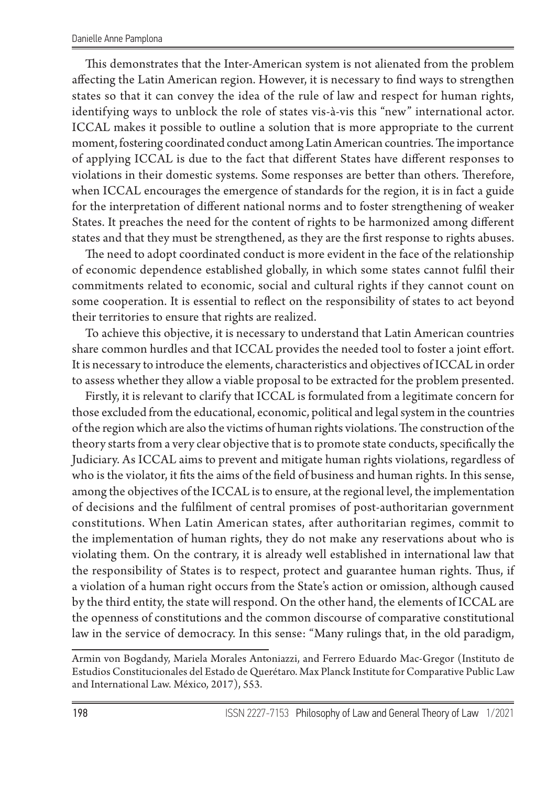This demonstrates that the Inter-American system is not alienated from the problem affecting the Latin American region. However, it is necessary to find ways to strengthen states so that it can convey the idea of the rule of law and respect for human rights, identifying ways to unblock the role of states vis-à-vis this "new" international actor. ICCAL makes it possible to outline a solution that is more appropriate to the current moment, fostering coordinated conduct among Latin American countries. The importance of applying ICCAL is due to the fact that different States have different responses to violations in their domestic systems. Some responses are better than others. Therefore, when ICCAL encourages the emergence of standards for the region, it is in fact a guide for the interpretation of different national norms and to foster strengthening of weaker States. It preaches the need for the content of rights to be harmonized among different states and that they must be strengthened, as they are the first response to rights abuses.

The need to adopt coordinated conduct is more evident in the face of the relationship of economic dependence established globally, in which some states cannot fulfil their commitments related to economic, social and cultural rights if they cannot count on some cooperation. It is essential to reflect on the responsibility of states to act beyond their territories to ensure that rights are realized.

To achieve this objective, it is necessary to understand that Latin American countries share common hurdles and that ICCAL provides the needed tool to foster a joint effort. It is necessary to introduce the elements, characteristics and objectives of ICCAL in order to assess whether they allow a viable proposal to be extracted for the problem presented.

Firstly, it is relevant to clarify that ICCAL is formulated from a legitimate concern for those excluded from the educational, economic, political and legal system in the countries of the region which are also the victims of human rights violations. The construction of the theory starts from a very clear objective that is to promote state conducts, specifically the Judiciary. As ICCAL aims to prevent and mitigate human rights violations, regardless of who is the violator, it fits the aims of the field of business and human rights. In this sense, among the objectives of the ICCAL is to ensure, at the regional level, the implementation of decisions and the fulfilment of central promises of post-authoritarian government constitutions. When Latin American states, after authoritarian regimes, commit to the implementation of human rights, they do not make any reservations about who is violating them. On the contrary, it is already well established in international law that the responsibility of States is to respect, protect and guarantee human rights. Thus, if a violation of a human right occurs from the State's action or omission, although caused by the third entity, the state will respond. On the other hand, the elements of ICCAL are the openness of constitutions and the common discourse of comparative constitutional law in the service of democracy. In this sense: "Many rulings that, in the old paradigm,

Armin von Bogdandy, Mariela Morales Antoniazzi, and Ferrero Eduardo Mac-Gregor (Instituto de Estudios Constitucionales del Estado de Querétaro. Max Planck Institute for Comparative Public Law and International Law. México, 2017), 553.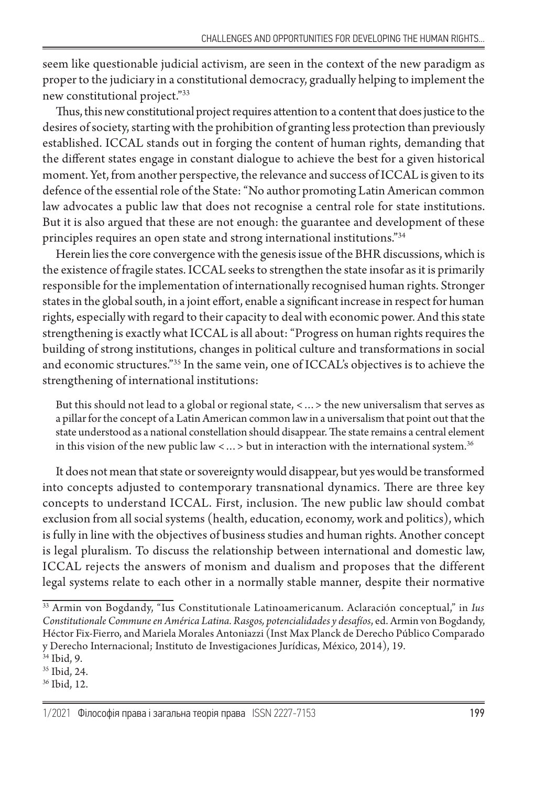seem like questionable judicial activism, are seen in the context of the new paradigm as proper to the judiciary in a constitutional democracy, gradually helping to implement the new constitutional project."33

Thus, this new constitutional project requires attention to a content that does justice to the desires of society, starting with the prohibition of granting less protection than previously established. ICCAL stands out in forging the content of human rights, demanding that the different states engage in constant dialogue to achieve the best for a given historical moment. Yet, from another perspective, the relevance and success of ICCAL is given to its defence of the essential role of the State: "No author promoting Latin American common law advocates a public law that does not recognise a central role for state institutions. But it is also argued that these are not enough: the guarantee and development of these principles requires an open state and strong international institutions."34

Herein lies the core convergence with the genesis issue of the BHR discussions, which is the existence of fragile states. ICCAL seeks to strengthen the state insofar as it is primarily responsible for the implementation of internationally recognised human rights. Stronger states in the global south, in a joint effort, enable a significant increase in respect for human rights, especially with regard to their capacity to deal with economic power. And this state strengthening is exactly what ICCAL is all about: "Progress on human rights requires the building of strong institutions, changes in political culture and transformations in social and economic structures."35 In the same vein, one of ICCAL's objectives is to achieve the strengthening of international institutions:

But this should not lead to a global or regional state, <…> the new universalism that serves as a pillar for the concept of a Latin American common law in a universalism that point out that the state understood as a national constellation should disappear. The state remains a central element in this vision of the new public law  $\langle \ldots \rangle$  but in interaction with the international system.<sup>36</sup>

It does not mean that state or sovereignty would disappear, but yes would be transformed into concepts adjusted to contemporary transnational dynamics. There are three key concepts to understand ICCAL. First, inclusion. The new public law should combat exclusion from all social systems (health, education, economy, work and politics), which is fully in line with the objectives of business studies and human rights. Another concept is legal pluralism. To discuss the relationship between international and domestic law, ICCAL rejects the answers of monism and dualism and proposes that the different legal systems relate to each other in a normally stable manner, despite their normative

36 Ibid, 12.

<sup>33</sup> Armin von Bogdandy, "Ius Constitutionale Latinoamericanum. Aclaración conceptual," in *Ius Constitutionale Commune en América Latina. Rasgos, potencialidades y desafíos*, ed. Armin von Bogdandy, Héctor Fix-Fierro, and Mariela Morales Antoniazzi (Inst Max Planck de Derecho Público Comparado y Derecho Internacional; Instituto de Investigaciones Jurídicas, México, 2014), 19.

<sup>34</sup> Ibid, 9.

<sup>35</sup> Ibid, 24.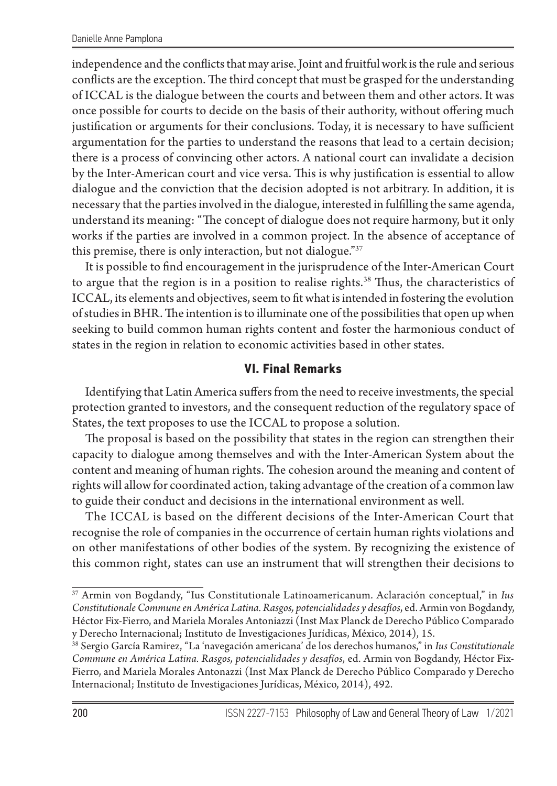independence and the conflicts that may arise. Joint and fruitful work is the rule and serious conflicts are the exception. The third concept that must be grasped for the understanding of ICCAL is the dialogue between the courts and between them and other actors. It was once possible for courts to decide on the basis of their authority, without offering much justification or arguments for their conclusions. Today, it is necessary to have sufficient argumentation for the parties to understand the reasons that lead to a certain decision; there is a process of convincing other actors. A national court can invalidate a decision by the Inter-American court and vice versa. This is why justification is essential to allow dialogue and the conviction that the decision adopted is not arbitrary. In addition, it is necessary that the parties involved in the dialogue, interested in fulfilling the same agenda, understand its meaning: "The concept of dialogue does not require harmony, but it only works if the parties are involved in a common project. In the absence of acceptance of this premise, there is only interaction, but not dialogue."37

It is possible to find encouragement in the jurisprudence of the Inter-American Court to argue that the region is in a position to realise rights.<sup>38</sup> Thus, the characteristics of ICCAL, its elements and objectives, seem to fit what is intended in fostering the evolution of studies in BHR. The intention is to illuminate one of the possibilities that open up when seeking to build common human rights content and foster the harmonious conduct of states in the region in relation to economic activities based in other states.

## **VI. Final Remarks**

Identifying that Latin America suffers from the need to receive investments, the special protection granted to investors, and the consequent reduction of the regulatory space of States, the text proposes to use the ICCAL to propose a solution.

The proposal is based on the possibility that states in the region can strengthen their capacity to dialogue among themselves and with the Inter-American System about the content and meaning of human rights. The cohesion around the meaning and content of rights will allow for coordinated action, taking advantage of the creation of a common law to guide their conduct and decisions in the international environment as well.

The ICCAL is based on the different decisions of the Inter-American Court that recognise the role of companies in the occurrence of certain human rights violations and on other manifestations of other bodies of the system. By recognizing the existence of this common right, states can use an instrument that will strengthen their decisions to

<sup>37</sup> Armin von Bogdandy, "Ius Constitutionale Latinoamericanum. Aclaración conceptual," in *Ius Constitutionale Commune en América Latina. Rasgos, potencialidades y desafíos*, ed. Armin von Bogdandy, Héctor Fix-Fierro, and Mariela Morales Antoniazzi (Inst Max Planck de Derecho Público Comparado y Derecho Internacional; Instituto de Investigaciones Jurídicas, México, 2014), 15.

<sup>38</sup> Sergio García Ramirez, "La 'navegación americana' de los derechos humanos," in *Ius Constitutionale Commune en América Latina. Rasgos, potencialidades y desafíos*, ed. Armin von Bogdandy, Héctor Fix-Fierro, and Mariela Morales Antonazzi (Inst Max Planck de Derecho Público Comparado y Derecho Internacional; Instituto de Investigaciones Jurídicas, México, 2014), 492.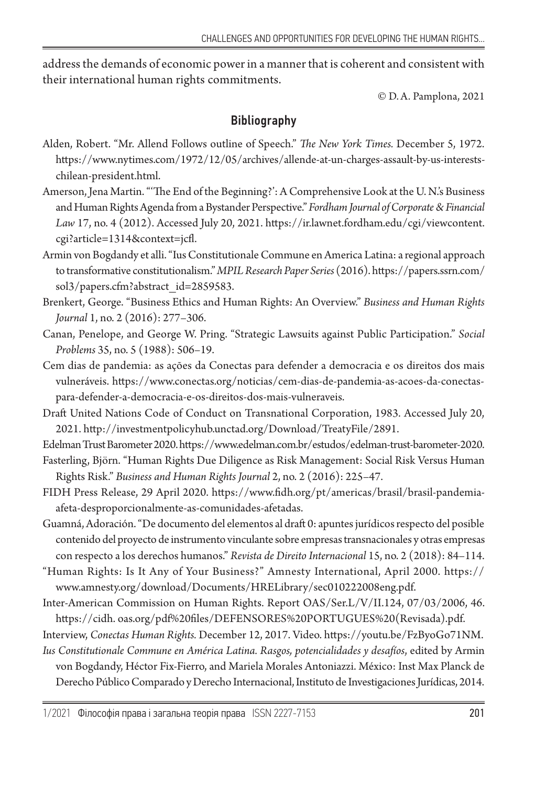address the demands of economic power in a manner that is coherent and consistent with their international human rights commitments.

© D.A. Pamplona, 2021

## Bibliography

- Alden, Robert. "Mr. Allend Follows outline of Speech." *The New York Times.* December 5, 1972. https://www.nytimes.com/1972/12/05/archives/allende-at-un-charges-assault-by-us-interestschilean-president.html.
- Amerson, Jena Martin. "'The End of the Beginning?': A Comprehensive Look at the U. N.'s Business and Human Rights Agenda from a Bystander Perspective." *Fordham Journal of Corporate & Financial Law* 17, no. 4 (2012). Accessed July 20, 2021. https://ir.lawnet.fordham.edu/cgi/viewcontent. cgi?article=1314&context=jcfl.
- Armin von Bogdandy et alli. "Ius Constitutionale Commune en America Latina: a regional approach to transformative constitutionalism." *MPIL Research Paper Series* (2016). https://papers.ssrn.com/ sol3/papers.cfm?abstract\_id=2859583.
- Brenkert, George. "Business Ethics and Human Rights: An Overview." *Business and Human Rights Journal* 1, no. 2 (2016): 277–306.
- Canan, Penelope, and George W. Pring. "Strategic Lawsuits against Public Participation." *Social Problems* 35, no. 5 (1988): 506–19.
- Cem dias de pandemia: as ações da Conectas para defender a democracia e os direitos dos mais vulneráveis. https://www.conectas.org/noticias/cem-dias-de-pandemia-as-acoes-da-conectaspara-defender-a-democracia-e-os-direitos-dos-mais-vulneraveis.
- Draft United Nations Code of Conduct on Transnational Corporation, 1983. Accessed July 20, 2021. http://investmentpolicyhub.unctad.org/Download/TreatyFile/2891.

Edelman Trust Barometer 2020. https://www.edelman.com.br/estudos/edelman-trust-barometer-2020.

- Fasterling, Björn. "Human Rights Due Diligence as Risk Management: Social Risk Versus Human Rights Risk." *Business and Human Rights Journal* 2, no. 2 (2016): 225–47.
- FIDH Press Release, 29 April 2020. https://www.fidh.org/pt/americas/brasil/brasil-pandemiaafeta-desproporcionalmente-as-comunidades-afetadas.
- Guamná, Adoración. "De documento del elementos al draft 0: apuntes jurídicos respecto del posible contenido del proyecto de instrumento vinculante sobre empresas transnacionales y otras empresas con respecto a los derechos humanos." *Revista de Direito Internacional* 15, no. 2 (2018): 84–114.
- "Human Rights: Is It Any of Your Business?" Amnesty International, April 2000. https:// www.amnesty.org/download/Documents/HRELibrary/sec010222008eng.pdf.
- Inter-American Commission on Human Rights. Report OAS/Ser.L/V/II.124, 07/03/2006, 46. https://cidh. oas.org/pdf%20files/DEFENSORES%20PORTUGUES%20(Revisada).pdf.
- Interview, *Conectas Human Rights.* December 12, 2017. Video. https://youtu.be/FzByoGo71NM. *Ius Constitutionale Commune en América Latina. Rasgos, potencialidades y desafíos*, edited by Armin
	- von Bogdandy, Héctor Fix-Fierro, and Mariela Morales Antoniazzi. México: Inst Max Planck de Derecho Público Comparado y Derecho Internacional, Instituto de Investigaciones Jurídicas, 2014.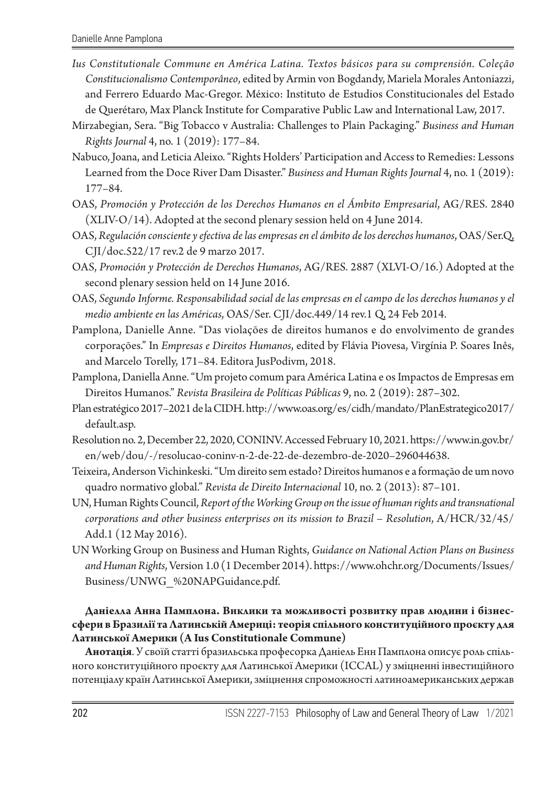- *Ius Constitutionale Commune en América Latina. Textos básicos para su comprensión. Coleção Constitucionalismo Contemporâneo*, edited by Armin von Bogdandy, Mariela Morales Antoniazzi, and Ferrero Eduardo Mac-Gregor. México: Instituto de Estudios Constitucionales del Estado de Querétaro, Max Planck Institute for Comparative Public Law and International Law, 2017.
- Mirzabegian, Sera. "Big Tobacco v Australia: Challenges to Plain Packaging." *Business and Human Rights Journal* 4, no. 1 (2019): 177–84.
- Nabuco, Joana, and Leticia Aleixo. "Rights Holders' Participation and Access to Remedies: Lessons Learned from the Doce River Dam Disaster." *Business and Human Rights Journal* 4, no. 1 (2019): 177–84.
- OAS, *Promoción y Protección de los Derechos Humanos en el Ámbito Empresarial*, AG/RES. 2840 (XLIV-O/14). Adopted at the second plenary session held on 4 June 2014.
- OAS, *Regulación consciente y efectiva de las empresas en el ámbito de los derechos humanos*, OAS/Ser.Q, CJI/doc.522/17 rev.2 de 9 marzo 2017.
- OAS, *Promoción y Protección de Derechos Humanos*, AG/RES. 2887 (XLVI-O/16.) Adopted at the second plenary session held on 14 June 2016.
- OAS, *Segundo Informe. Responsabilidad social de las empresas en el campo de los derechos humanos y el medio ambiente en las Américas*, OAS/Ser. CJI/doc.449/14 rev.1 Q, 24 Feb 2014.
- Pamplona, Danielle Anne. "Das violações de direitos humanos e do envolvimento de grandes corporações." In *Empresas e Direitos Humanos*, edited by Flávia Piovesa, Virgínia P. Soares Inês, and Marcelo Torelly, 171–84. Editora JusPodivm, 2018.
- Pamplona, Daniella Anne. "Um projeto comum para América Latina e os Impactos de Empresas em Direitos Humanos." *Revista Brasileira de Políticas Públicas* 9, no. 2 (2019): 287–302.
- Plan estratégico 2017–2021 de la CIDH. http://www.oas.org/es/cidh/mandato/PlanEstrategico2017/ default.asp.
- Resolution no. 2, December 22, 2020, CONINV. Аccessed February 10, 2021. https://www.in.gov.br/ en/web/dou/-/resolucao-coninv-n-2-de-22-de-dezembro-de-2020–296044638.
- Teixeira, Anderson Vichinkeski. "Um direito sem estado? Direitos humanos e a formação de um novo quadro normativo global." *Revista de Direito Internacional* 10, no. 2 (2013): 87–101.
- UN, Human Rights Council, *Report of the Working Group on the issue of human rights and transnational corporations and other business enterprises on its mission to Brazil* – *Resolution*, A/HCR/32/45/ Add.1 (12 May 2016).
- UN Working Group on Business and Human Rights, *Guidance on National Action Plans on Business and Human Rights*, Version 1.0 (1 December 2014). https://www.ohchr.org/Documents/Issues/ Business/UNWG\_%20NAPGuidance.pdf.

#### **Даніелла Анна Памплона. Виклики та можливості розвитку прав людини і бізнессфери в Бразилії та Латинській Америці: теорія спільного конституційного проєкту для Латинської Америки (А Ius Constitutionale Commune)**

**Анотація**. У своїй статті бразильська професорка Даніель Енн Памплона описує роль спільного конституційного проєкту для Латинської Америки (ICCAL) у зміцненні інвестиційного потенціалу країн Латинської Америки, зміцнення спроможності латиноамериканських держав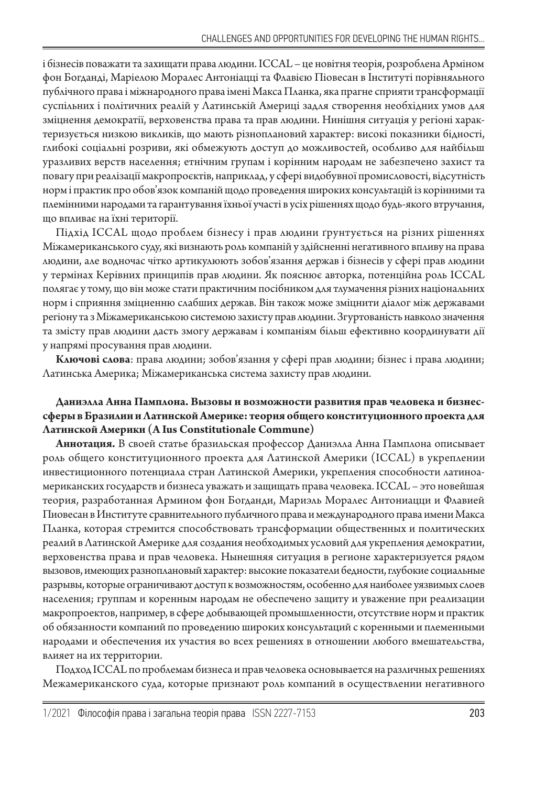і бізнесів поважати та захищати права людини. ICCAL – це новітня теорія, розроблена Арміном фон Богданді, Маріелою Моралес Антоніацці та Флавією Піовесан в Інституті порівняльного публічного права і міжнародного права імені Макса Планка, яка прагне сприяти трансформації суспільних і політичних реалій у Латинській Америці задля створення необхідних умов для зміцнення демократії, верховенства права та прав людини. Нинішня ситуація у регіоні характеризується низкою викликів, що мають різноплановий характер: високі показники бідності, глибокі соціальні розриви, які обмежують доступ до можливостей, особливо для найбільш уразливих верств населення; етнічним групам і корінним народам не забезпечено захист та повагу при реалізації макропроєктів, наприклад, у сфері видобувної промисловості, відсутність норм і практик про обов'язок компаній щодо проведення широких консультацій із корінними та племінними народами та гарантування їхньої участі в усіх рішеннях щодо будь-якого втручання, що впливає на їхні території.

Підхід ICCAL щодо проблем бізнесу і прав людини ґрунтується на різних рішеннях Міжамериканського суду, які визнають роль компаній у здійсненні негативного впливу на права людини, але водночас чітко артикулюють зобов'язання держав і бізнесів у сфері прав людини у термінах Керівних принципів прав людини. Як пояснює авторка, потенційна роль ICCAL полягає у тому, що він може стати практичним посібником для тлумачення різних національних норм і сприяння зміцненню слабших держав. Він також може зміцнити діалог між державами регіону та з Міжамериканською системою захисту прав людини. Згуртованість навколо значення та змісту прав людини дасть змогу державам і компаніям більш ефективно координувати дії у напрямі просування прав людини.

**Ключові слова**: права людини; зобов'язання у сфері прав людини; бізнес і права людини; Латинська Америка; Міжамериканська система захисту прав людини.

#### **Даниэлла Анна Памплона. Вызовы и возможности развития прав человека и бизнессферы в Бразилии и Латинской Америке: теория общего конституционного проекта для Латинской Америки (А Ius Constitutionale Commune)**

**Аннотация.** В своей статье бразильская профессор Даниэлла Анна Памплона описывает роль общего конституционного проекта для Латинской Америки (ICCAL) в укреплении инвестиционного потенциала стран Латинской Америки, укрепления способности латиноамериканских государств и бизнеса уважать и защищать права человека. ICCAL – это новейшая теория, разработанная Армином фон Богданди, Мариэль Моралес Антониацци и Флавией Пиовесан в Институте сравнительного публичного права и международного права имени Макса Планка, которая стремится способствовать трансформации общественных и политических реалий в Латинской Америке для создания необходимых условий для укрепления демократии, верховенства права и прав человека. Нынешняя ситуация в регионе характеризуется рядом вызовов, имеющих разноплановый характер: высокие показатели бедности, глубокие социальные разрывы, которые ограничивают доступ к возможностям, особенно для наиболее уязвимых слоев населения; группам и коренным народам не обеспечено защиту и уважение при реализации макропроектов, например, в сфере добывающей промышленности, отсутствие норм и практик об обязанности компаний по проведению широких консультаций с коренными и племенными народами и обеспечения их участия во всех решениях в отношении любого вмешательства, влияет на их территории.

Подход ICCAL по проблемам бизнеса и прав человека основывается на различных решениях Межамериканского суда, которые признают роль компаний в осуществлении негативного